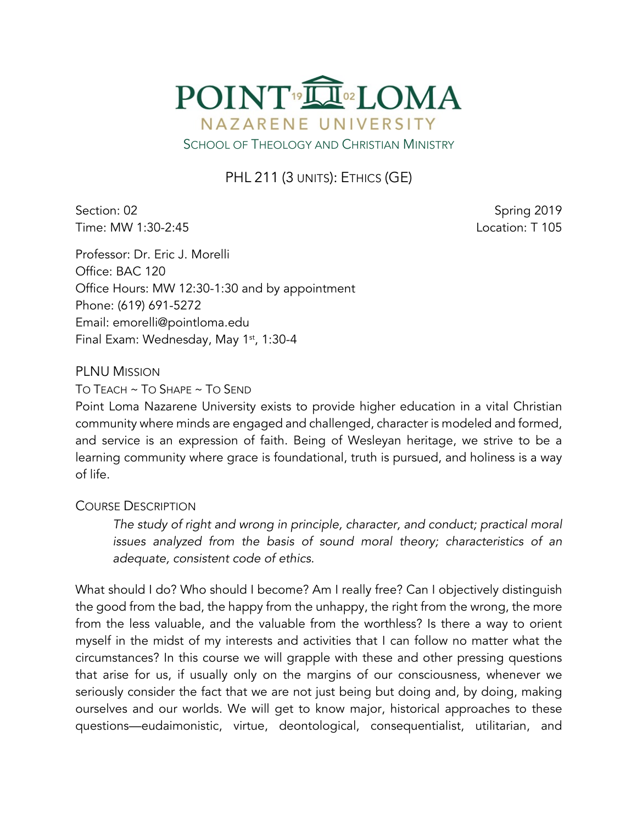

PHL 211 (3 UNITS): ETHICS (GE)

Section: 02 Spring 2019 Time: MW 1:30-2:45 Location: T 105

Professor: Dr. Eric J. Morelli Office: BAC 120 Office Hours: MW 12:30-1:30 and by appointment Phone: (619) 691-5272 Email: emorelli@pointloma.edu Final Exam: Wednesday, May 1<sup>st</sup>, 1:30-4

PLNU MISSION

TO TEACH ~ TO SHAPE ~ TO SEND

Point Loma Nazarene University exists to provide higher education in a vital Christian community where minds are engaged and challenged, character is modeled and formed, and service is an expression of faith. Being of Wesleyan heritage, we strive to be a learning community where grace is foundational, truth is pursued, and holiness is a way of life.

# COURSE DESCRIPTION

*The study of right and wrong in principle, character, and conduct; practical moral issues analyzed from the basis of sound moral theory; characteristics of an adequate, consistent code of ethics.*

What should I do? Who should I become? Am I really free? Can I objectively distinguish the good from the bad, the happy from the unhappy, the right from the wrong, the more from the less valuable, and the valuable from the worthless? Is there a way to orient myself in the midst of my interests and activities that I can follow no matter what the circumstances? In this course we will grapple with these and other pressing questions that arise for us, if usually only on the margins of our consciousness, whenever we seriously consider the fact that we are not just being but doing and, by doing, making ourselves and our worlds. We will get to know major, historical approaches to these questions—eudaimonistic, virtue, deontological, consequentialist, utilitarian, and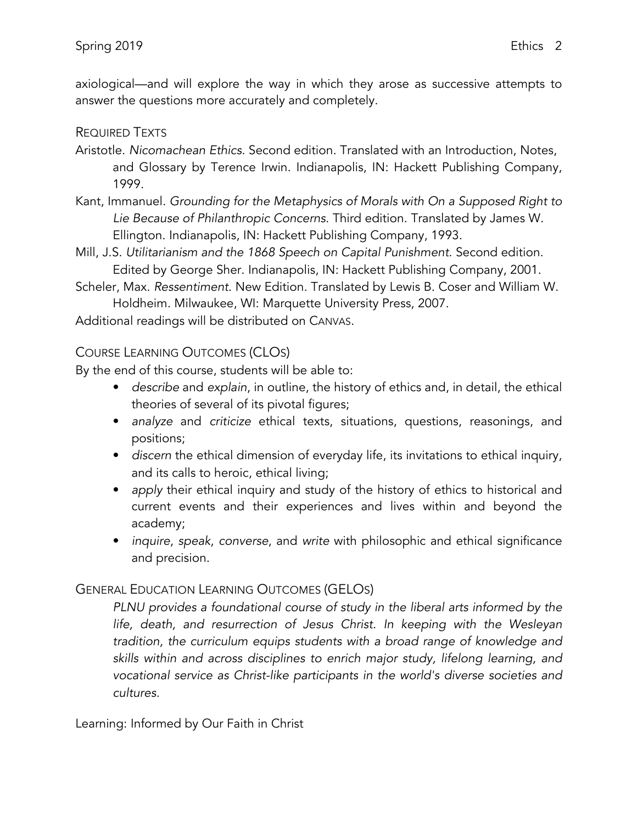axiological—and will explore the way in which they arose as successive attempts to answer the questions more accurately and completely.

#### REQUIRED TEXTS

- Aristotle. *Nicomachean Ethics*. Second edition. Translated with an Introduction, Notes, and Glossary by Terence Irwin. Indianapolis, IN: Hackett Publishing Company, 1999.
- Kant, Immanuel. *Grounding for the Metaphysics of Morals with On a Supposed Right to Lie Because of Philanthropic Concerns*. Third edition. Translated by James W. Ellington. Indianapolis, IN: Hackett Publishing Company, 1993.
- Mill, J.S. *Utilitarianism and the 1868 Speech on Capital Punishment*. Second edition. Edited by George Sher. Indianapolis, IN: Hackett Publishing Company, 2001.
- Scheler, Max. *Ressentiment*. New Edition. Translated by Lewis B. Coser and William W. Holdheim. Milwaukee, WI: Marquette University Press, 2007.

Additional readings will be distributed on CANVAS.

#### COURSE LEARNING OUTCOMES (CLOS)

By the end of this course, students will be able to:

- *describe* and *explain*, in outline, the history of ethics and, in detail, the ethical theories of several of its pivotal figures;
- *analyze* and *criticize* ethical texts, situations, questions, reasonings, and positions;
- *discern* the ethical dimension of everyday life, its invitations to ethical inquiry, and its calls to heroic, ethical living;
- *apply* their ethical inquiry and study of the history of ethics to historical and current events and their experiences and lives within and beyond the academy;
- *inquire*, *speak*, *converse*, and *write* with philosophic and ethical significance and precision.

# GENERAL EDUCATION LEARNING OUTCOMES (GELOS)

*PLNU provides a foundational course of study in the liberal arts informed by the life, death, and resurrection of Jesus Christ. In keeping with the Wesleyan tradition, the curriculum equips students with a broad range of knowledge and skills within and across disciplines to enrich major study, lifelong learning, and vocational service as Christ-like participants in the world's diverse societies and cultures.*

Learning: Informed by Our Faith in Christ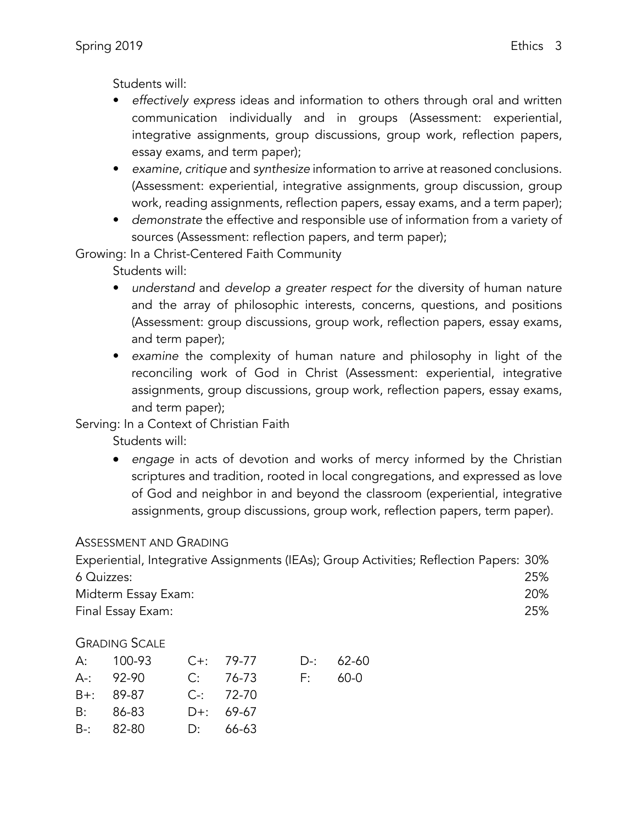Students will:

- *effectively express* ideas and information to others through oral and written communication individually and in groups (Assessment: experiential, integrative assignments, group discussions, group work, reflection papers, essay exams, and term paper);
- *examine*, *critique* and *synthesize* information to arrive at reasoned conclusions. (Assessment: experiential, integrative assignments, group discussion, group work, reading assignments, reflection papers, essay exams, and a term paper);
- *demonstrate* the effective and responsible use of information from a variety of sources (Assessment: reflection papers, and term paper);

Growing: In a Christ-Centered Faith Community

Students will:

- *understand* and *develop a greater respect for* the diversity of human nature and the array of philosophic interests, concerns, questions, and positions (Assessment: group discussions, group work, reflection papers, essay exams, and term paper);
- *examine* the complexity of human nature and philosophy in light of the reconciling work of God in Christ (Assessment: experiential, integrative assignments, group discussions, group work, reflection papers, essay exams, and term paper);

# Serving: In a Context of Christian Faith

Students will:

• *engage* in acts of devotion and works of mercy informed by the Christian scriptures and tradition, rooted in local congregations, and expressed as love of God and neighbor in and beyond the classroom (experiential, integrative assignments, group discussions, group work, reflection papers, term paper).

# ASSESSMENT AND GRADING

| Experiential, Integrative Assignments (IEAs); Group Activities; Reflection Papers: 30% |            |
|----------------------------------------------------------------------------------------|------------|
| 6 Quizzes:                                                                             | 25%        |
| Midterm Essay Exam:                                                                    | <b>20%</b> |
| Final Essay Exam:                                                                      | 25%        |

# GRADING SCALE

| A: 100-93 C+: 79-77 |                |           | D-: 62-60 |
|---------------------|----------------|-----------|-----------|
| $A - 92 - 90$       | C: 76-73       | $F: 60-0$ |           |
| B+: 89-87           | $C_{-1}$ 72-70 |           |           |
| $B: 86-83$          | D+: 69-67      |           |           |
| $B-$ : 82-80        | D: 66-63       |           |           |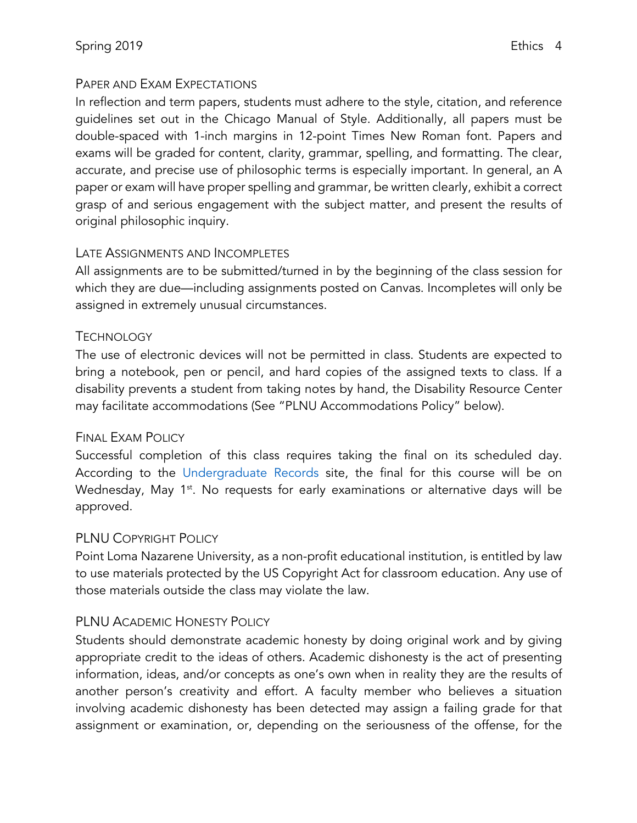#### PAPER AND EXAM EXPECTATIONS

In reflection and term papers, students must adhere to the style, citation, and reference guidelines set out in the Chicago Manual of Style. Additionally, all papers must be double-spaced with 1-inch margins in 12-point Times New Roman font. Papers and exams will be graded for content, clarity, grammar, spelling, and formatting. The clear, accurate, and precise use of philosophic terms is especially important. In general, an A paper or exam will have proper spelling and grammar, be written clearly, exhibit a correct grasp of and serious engagement with the subject matter, and present the results of original philosophic inquiry.

# LATE ASSIGNMENTS AND INCOMPLETES

All assignments are to be submitted/turned in by the beginning of the class session for which they are due—including assignments posted on Canvas. Incompletes will only be assigned in extremely unusual circumstances.

# **TECHNOLOGY**

The use of electronic devices will not be permitted in class. Students are expected to bring a notebook, pen or pencil, and hard copies of the assigned texts to class. If a disability prevents a student from taking notes by hand, the Disability Resource Center may facilitate accommodations (See "PLNU Accommodations Policy" below).

#### FINAL EXAM POLICY

Successful completion of this class requires taking the final on its scheduled day. According to the Undergraduate Records site, the final for this course will be on Wednesday, May 1<sup>st</sup>. No requests for early examinations or alternative days will be approved.

#### PLNU COPYRIGHT POLICY

Point Loma Nazarene University, as a non-profit educational institution, is entitled by law to use materials protected by the US Copyright Act for classroom education. Any use of those materials outside the class may violate the law.

# PLNU ACADEMIC HONESTY POLICY

Students should demonstrate academic honesty by doing original work and by giving appropriate credit to the ideas of others. Academic dishonesty is the act of presenting information, ideas, and/or concepts as one's own when in reality they are the results of another person's creativity and effort. A faculty member who believes a situation involving academic dishonesty has been detected may assign a failing grade for that assignment or examination, or, depending on the seriousness of the offense, for the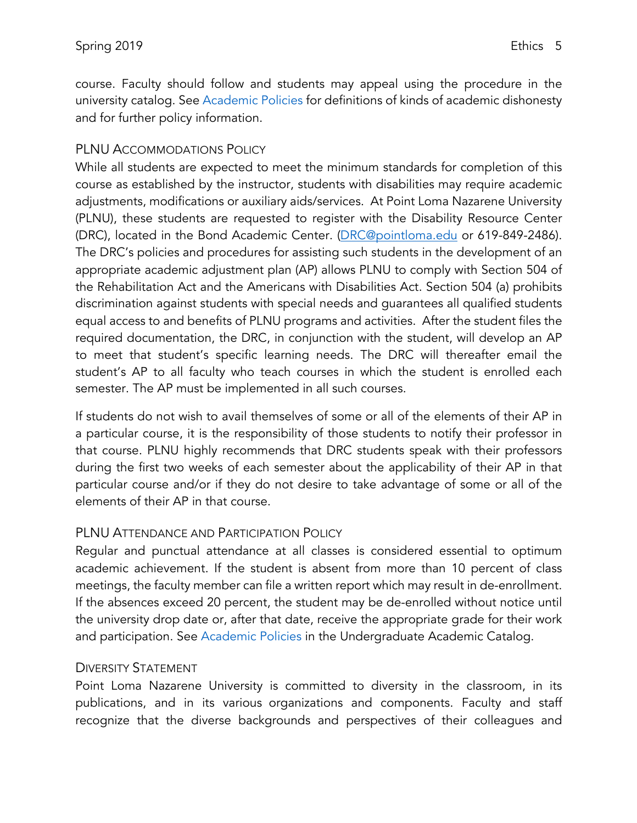course. Faculty should follow and students may appeal using the procedure in the university catalog. See Academic Policies for definitions of kinds of academic dishonesty and for further policy information.

# PLNU ACCOMMODATIONS POLICY

While all students are expected to meet the minimum standards for completion of this course as established by the instructor, students with disabilities may require academic adjustments, modifications or auxiliary aids/services. At Point Loma Nazarene University (PLNU), these students are requested to register with the Disability Resource Center (DRC), located in the Bond Academic Center. (DRC@pointloma.edu or 619-849-2486). The DRC's policies and procedures for assisting such students in the development of an appropriate academic adjustment plan (AP) allows PLNU to comply with Section 504 of the Rehabilitation Act and the Americans with Disabilities Act. Section 504 (a) prohibits discrimination against students with special needs and guarantees all qualified students equal access to and benefits of PLNU programs and activities. After the student files the required documentation, the DRC, in conjunction with the student, will develop an AP to meet that student's specific learning needs. The DRC will thereafter email the student's AP to all faculty who teach courses in which the student is enrolled each semester. The AP must be implemented in all such courses.

If students do not wish to avail themselves of some or all of the elements of their AP in a particular course, it is the responsibility of those students to notify their professor in that course. PLNU highly recommends that DRC students speak with their professors during the first two weeks of each semester about the applicability of their AP in that particular course and/or if they do not desire to take advantage of some or all of the elements of their AP in that course.

# PLNU ATTENDANCE AND PARTICIPATION POLICY

Regular and punctual attendance at all classes is considered essential to optimum academic achievement. If the student is absent from more than 10 percent of class meetings, the faculty member can file a written report which may result in de-enrollment. If the absences exceed 20 percent, the student may be de-enrolled without notice until the university drop date or, after that date, receive the appropriate grade for their work and participation. See Academic Policies in the Undergraduate Academic Catalog.

# DIVERSITY STATEMENT

Point Loma Nazarene University is committed to diversity in the classroom, in its publications, and in its various organizations and components. Faculty and staff recognize that the diverse backgrounds and perspectives of their colleagues and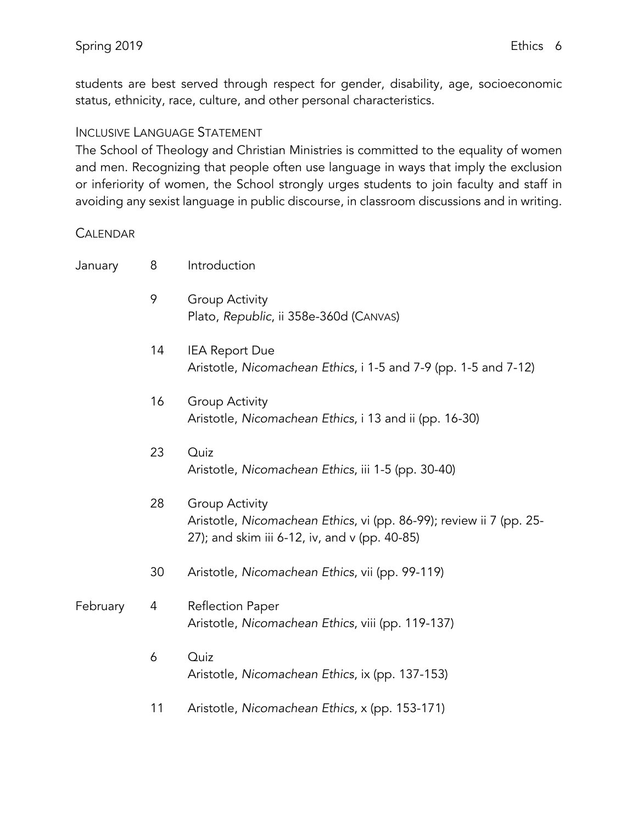students are best served through respect for gender, disability, age, socioeconomic status, ethnicity, race, culture, and other personal characteristics.

# INCLUSIVE LANGUAGE STATEMENT

The School of Theology and Christian Ministries is committed to the equality of women and men. Recognizing that people often use language in ways that imply the exclusion or inferiority of women, the School strongly urges students to join faculty and staff in avoiding any sexist language in public discourse, in classroom discussions and in writing.

#### **CALENDAR**

| January  | 8  | Introduction                                                                                                                                  |
|----------|----|-----------------------------------------------------------------------------------------------------------------------------------------------|
|          | 9  | Group Activity<br>Plato, Republic, ii 358e-360d (CANVAS)                                                                                      |
|          | 14 | <b>IEA Report Due</b><br>Aristotle, Nicomachean Ethics, i 1-5 and 7-9 (pp. 1-5 and 7-12)                                                      |
|          | 16 | <b>Group Activity</b><br>Aristotle, Nicomachean Ethics, i 13 and ii (pp. 16-30)                                                               |
|          | 23 | Quiz<br>Aristotle, Nicomachean Ethics, iii 1-5 (pp. 30-40)                                                                                    |
|          | 28 | <b>Group Activity</b><br>Aristotle, Nicomachean Ethics, vi (pp. 86-99); review ii 7 (pp. 25-<br>27); and skim iii 6-12, iv, and v (pp. 40-85) |
|          | 30 | Aristotle, Nicomachean Ethics, vii (pp. 99-119)                                                                                               |
| February | 4  | Reflection Paper<br>Aristotle, Nicomachean Ethics, viii (pp. 119-137)                                                                         |
|          | 6  | Quiz<br>Aristotle, Nicomachean Ethics, ix (pp. 137-153)                                                                                       |
|          | 11 | Aristotle, Nicomachean Ethics, x (pp. 153-171)                                                                                                |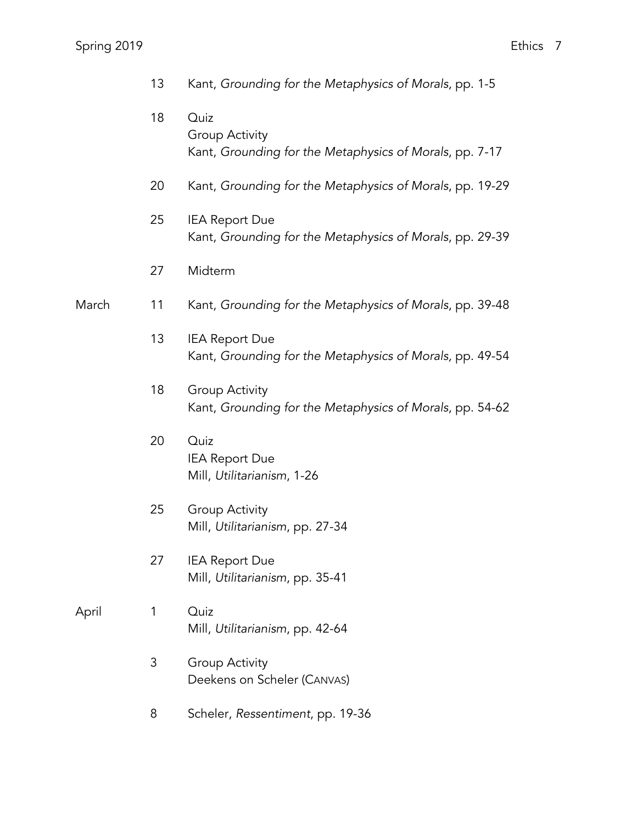|       | 13 | Kant, Grounding for the Metaphysics of Morals, pp. 1-5                            |
|-------|----|-----------------------------------------------------------------------------------|
|       | 18 | Quiz<br>Group Activity<br>Kant, Grounding for the Metaphysics of Morals, pp. 7-17 |
|       | 20 | Kant, Grounding for the Metaphysics of Morals, pp. 19-29                          |
|       | 25 | <b>IEA Report Due</b><br>Kant, Grounding for the Metaphysics of Morals, pp. 29-39 |
|       | 27 | Midterm                                                                           |
| March | 11 | Kant, Grounding for the Metaphysics of Morals, pp. 39-48                          |
|       | 13 | <b>IEA Report Due</b><br>Kant, Grounding for the Metaphysics of Morals, pp. 49-54 |
|       | 18 | <b>Group Activity</b><br>Kant, Grounding for the Metaphysics of Morals, pp. 54-62 |
|       | 20 | Quiz<br><b>IEA Report Due</b><br>Mill, Utilitarianism, 1-26                       |
|       | 25 | Group Activity<br>Mill, Utilitarianism, pp. 27-34                                 |
|       | 27 | <b>IEA Report Due</b><br>Mill, Utilitarianism, pp. 35-41                          |
| April | 1  | Quiz<br>Mill, Utilitarianism, pp. 42-64                                           |
|       | 3  | <b>Group Activity</b><br>Deekens on Scheler (CANVAS)                              |
|       | 8  | Scheler, Ressentiment, pp. 19-36                                                  |